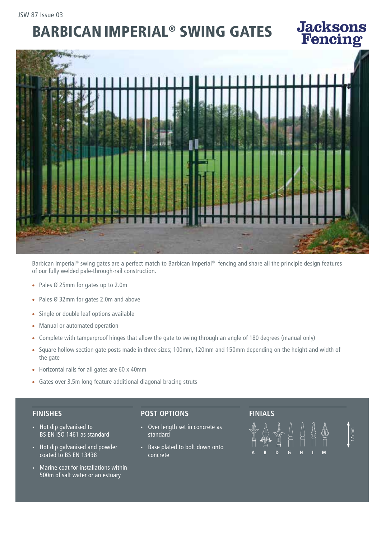# BARBICAN IMPERIAL® SWING GATES



Barbican Imperial® swing gates are a perfect match to Barbican Imperial® fencing and share all the principle design features of our fully welded pale-through-rail construction.

- Pales Ø 25mm for gates up to 2.0m
- Pales Ø 32mm for gates 2.0m and above
- Single or double leaf options available
- Manual or automated operation
- Complete with tamperproof hinges that allow the gate to swing through an angle of 180 degrees (manual only)
- Square hollow section gate posts made in three sizes; 100mm, 120mm and 150mm depending on the height and width of the gate
- Horizontal rails for all gates are 60 x 40mm
- Gates over 3.5m long feature additional diagonal bracing struts

### **FINISHES**

- Hot dip galvanised to BS EN ISO 1461 as standard
- Hot dip galvanised and powder coated to BS EN 13438
- Marine coat for installations within 500m of salt water or an estuary

### **POST OPTIONS**

- Over length set in concrete as standard
- Base plated to bolt down onto concrete

# **FINIALS**



175mm